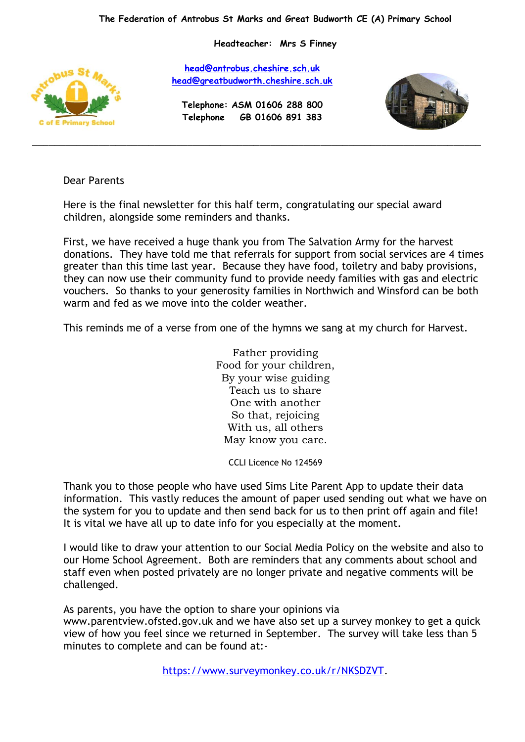**Headteacher: Mrs S Finney**



**[head@antrobus.cheshire.sch.uk](mailto:head@antrobus-st-marks.cheshire.sch.uk) [head@greatbudworth.cheshire.sch.uk](mailto:head@greatbudworth.cheshire.sch.uk)**

**Telephone: ASM 01606 288 800 Telephone GB 01606 891 383**

\_\_\_\_\_\_\_\_\_\_\_\_\_\_\_\_\_\_\_\_\_\_\_\_\_\_\_\_\_\_\_\_\_\_\_\_\_\_\_\_\_\_\_\_\_\_\_\_\_\_\_\_\_\_\_\_\_\_\_\_\_\_\_\_\_\_\_\_\_\_\_\_\_\_\_\_\_\_\_\_\_



## Dear Parents

Here is the final newsletter for this half term, congratulating our special award children, alongside some reminders and thanks.

First, we have received a huge thank you from The Salvation Army for the harvest donations. They have told me that referrals for support from social services are 4 times greater than this time last year. Because they have food, toiletry and baby provisions, they can now use their community fund to provide needy families with gas and electric vouchers. So thanks to your generosity families in Northwich and Winsford can be both warm and fed as we move into the colder weather.

This reminds me of a verse from one of the hymns we sang at my church for Harvest.

Father providing Food for your children, By your wise guiding Teach us to share One with another So that, rejoicing With us, all others May know you care.

CCLI Licence No 124569

Thank you to those people who have used Sims Lite Parent App to update their data information. This vastly reduces the amount of paper used sending out what we have on the system for you to update and then send back for us to then print off again and file! It is vital we have all up to date info for you especially at the moment.

I would like to draw your attention to our Social Media Policy on the website and also to our Home School Agreement. Both are reminders that any comments about school and staff even when posted privately are no longer private and negative comments will be challenged.

As parents, you have the option to share your opinions via

[www.parentview.ofsted.](http://www.parentview.ofsted/)gov.uk and we have also set up a survey monkey to get a quick view of how you feel since we returned in September. The survey will take less than 5 minutes to complete and can be found at:-

[https://www.surveymonkey.co.uk/r/NKSDZVT.](https://www.surveymonkey.co.uk/r/NKSDZVT)